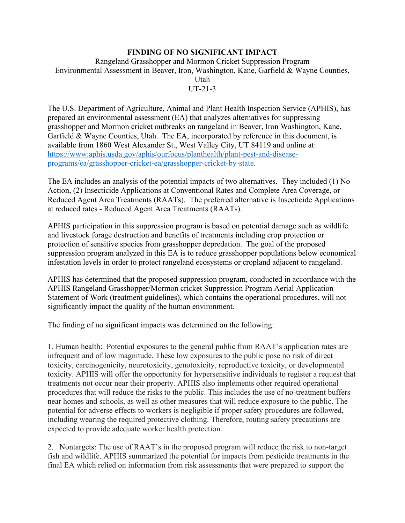## **FINDING OF NO SIGNIFICANT IMPACT**

Rangeland Grasshopper and Mormon Cricket Suppression Program Environmental Assessment in Beaver, Iron, Washington, Kane, Garfield & Wayne Counties, Utah UT-21-3

The U.S. Department of Agriculture, Animal and Plant Health Inspection Service (APHIS), has prepared an environmental assessment (EA) that analyzes alternatives for suppressing grasshopper and Mormon cricket outbreaks on rangeland in Beaver, Iron Washington, Kane, Garfield & Wayne Counties, Utah. The EA, incorporated by reference in this document, is available from 1860 West Alexander St., West Valley City, UT 84119 and online at: [https://www.aphis.usda.gov/aphis/ourfocus/planthealth/plant-pest-and-disease](https://www.aphis.usda.gov/aphis/ourfocus/planthealth/plant-pest-and-disease-programs/ea/grasshopper-cricket-ea/grasshopper-cricket-by-state)[programs/ea/grasshopper-cricket-ea/grasshopper-cricket-by-state.](https://www.aphis.usda.gov/aphis/ourfocus/planthealth/plant-pest-and-disease-programs/ea/grasshopper-cricket-ea/grasshopper-cricket-by-state)

The EA includes an analysis of the potential impacts of two alternatives. They included (1) No Action, (2) Insecticide Applications at Conventional Rates and Complete Area Coverage, or Reduced Agent Area Treatments (RAATs). The preferred alternative is Insecticide Applications at reduced rates - Reduced Agent Area Treatments (RAATs).

APHIS participation in this suppression program is based on potential damage such as wildlife and livestock forage destruction and benefits of treatments including crop protection or protection of sensitive species from grasshopper depredation. The goal of the proposed suppression program analyzed in this EA is to reduce grasshopper populations below economical infestation levels in order to protect rangeland ecosystems or cropland adjacent to rangeland.

APHIS has determined that the proposed suppression program, conducted in accordance with the APHIS Rangeland Grasshopper/Mormon cricket Suppression Program Aerial Application Statement of Work (treatment guidelines), which contains the operational procedures, will not significantly impact the quality of the human environment.

The finding of no significant impacts was determined on the following:

1. Human health: Potential exposures to the general public from RAAT's application rates are infrequent and of low magnitude. These low exposures to the public pose no risk of direct toxicity, carcinogenicity, neurotoxicity, genotoxicity, reproductive toxicity, or developmental toxicity. APHIS will offer the opportunity for hypersensitive individuals to register a request that treatments not occur near their property. APHIS also implements other required operational procedures that will reduce the risks to the public. This includes the use of no-treatment buffers near homes and schools, as well as other measures that will reduce exposure to the public. The potential for adverse effects to workers is negligible if proper safety procedures are followed, including wearing the required protective clothing. Therefore, routing safety precautions are expected to provide adequate worker health protection.

2. Nontargets: The use of RAAT's in the proposed program will reduce the risk to non-target fish and wildlife. APHIS summarized the potential for impacts from pesticide treatments in the final EA which relied on information from risk assessments that were prepared to support the